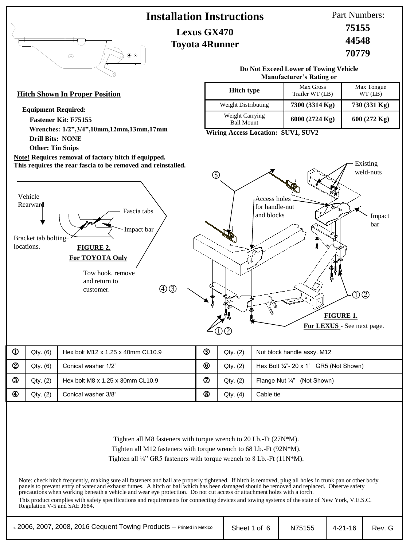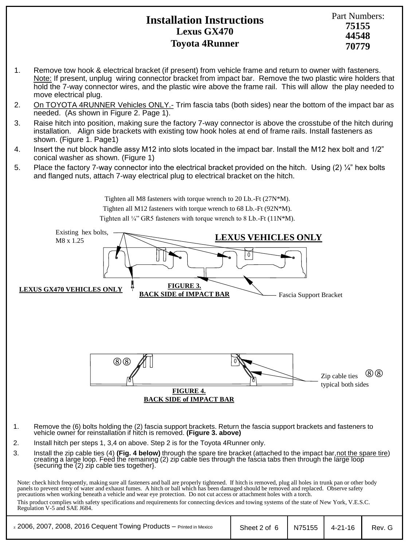## **Installation Instructions Lexus GX470 Toyota 4Runner**

- 1. Remove tow hook & electrical bracket (if present) from vehicle frame and return to owner with fasteners. Note: If present, unplug wiring connector bracket from impact bar. Remove the two plastic wire holders that hold the 7-way connector wires, and the plastic wire above the frame rail. This will allow the play needed to move electrical plug.
- 2. On TOYOTA 4RUNNER Vehicles ONLY.- Trim fascia tabs (both sides) near the bottom of the impact bar as needed. (As shown in Figure 2. Page 1).
- 3. Raise hitch into position, making sure the factory 7-way connector is above the crosstube of the hitch during installation. Align side brackets with existing tow hook holes at end of frame rails. Install fasteners as shown. (Figure 1. Page1)
- 4. Insert the nut block handle assy M12 into slots located in the impact bar. Install the M12 hex bolt and 1/2" conical washer as shown. (Figure 1)
- 5. Place the factory 7-way connector into the electrical bracket provided on the hitch. Using (2) ¼" hex bolts and flanged nuts, attach 7-way electrical plug to electrical bracket on the hitch.



Note: check hitch frequently, making sure all fasteners and ball are properly tightened. If hitch is removed, plug all holes in trunk pan or other body panels to prevent entry of water and exhaust fumes. A hitch or ball which has been damaged should be removed and replaced. Observe safety precautions when working beneath a vehicle and wear eye protection. Do not cut access or attachment holes with a torch. This product complies with safety specifications and requirements for connecting devices and towing systems of the state of New York, V.E.S.C. Regulation V-5 and SAE J684.

| z 2006, 2007, 2008, 2016 Cequent Towing Products - Printed in Mexico | Sheet 2 of 6   N75155   4-21-16 |  | Rev. G |
|----------------------------------------------------------------------|---------------------------------|--|--------|
|                                                                      |                                 |  |        |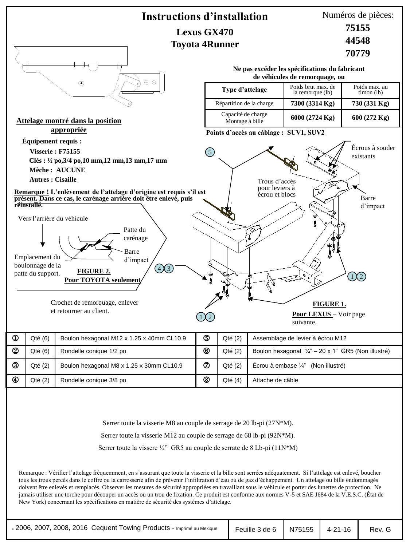

Serrer toute la vissere  $\frac{1}{4}$  GR5 au couple de serrate de 8 Lb-pi (11N\*M)

Remarque : Vérifier l'attelage fréquemment, en s'assurant que toute la visserie et la bille sont serrées adéquatement. Si l'attelage est enlevé, boucher tous les trous percés dans le coffre ou la carrosserie afin de prévenir l'infiltration d'eau ou de gaz d'échappement. Un attelage ou bille endommagés doivent être enlevés et remplacés. Observer les mesures de sécurité appropriées en travaillant sous le véhicule et porter des lunettes de protection. Ne jamais utiliser une torche pour découper un accès ou un trou de fixation. Ce produit est conforme aux normes V-5 et SAE J684 de la V.E.S.C. (État de New York) concernant les spécifications en matière de sécurité des systèmes d'attelage.

|  | Rev. G                            |
|--|-----------------------------------|
|  | Feuille 3 de 6   N75155   4-21-16 |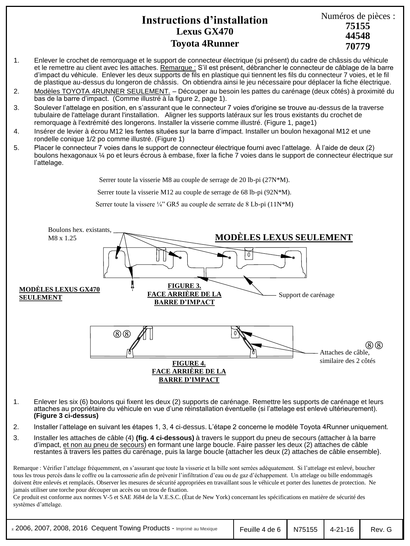## **Instructions d'installation Lexus GX470 Toyota 4Runner**

Numéros de pièces : **44548 75155 70779**

#### 1. Enlever le crochet de remorquage et le support de connecteur électrique (si présent) du cadre de châssis du véhicule et le remettre au client avec les attaches. Remarque : S'il est présent, débrancher le connecteur de câblage de la barre d'impact du véhicule. Enlever les deux supports de fils en plastique qui tiennent les fils du connecteur 7 voies, et le fil de plastique au-dessus du longeron de châssis. On obtiendra ainsi le jeu nécessaire pour déplacer la fiche électrique.

- 2. Modèles TOYOTA 4RUNNER SEULEMENT. Découper au besoin les pattes du carénage (deux côtés) à proximité du bas de la barre d'impact. (Comme illustré à la figure 2, page 1).
- 3. Soulever l'attelage en position, en s'assurant que le connecteur 7 voies d'origine se trouve au-dessus de la traverse tubulaire de l'attelage durant l'installation. Aligner les supports latéraux sur les trous existants du crochet de remorquage à l'extrémité des longerons. Installer la visserie comme illustré. (Figure 1, page1)
- 4. Insérer de levier à écrou M12 les fentes situées sur la barre d'impact. Installer un boulon hexagonal M12 et une rondelle conique 1/2 po comme illustré. (Figure 1)
- 5. Placer le connecteur 7 voies dans le support de connecteur électrique fourni avec l'attelage. À l'aide de deux (2) boulons hexagonaux ¼ po et leurs écrous à embase, fixer la fiche 7 voies dans le support de connecteur électrique sur l'attelage.

Serrer toute la visserie M8 au couple de serrage de 20 lb-pi (27N\*M).

Serrer toute la visserie M12 au couple de serrage de 68 lb-pi (92N\*M).

Serrer toute la vissere ¼" GR5 au couple de serrate de 8 Lb-pi  $(11N*M)$ 



- 1. Enlever les six (6) boulons qui fixent les deux (2) supports de carénage. Remettre les supports de carénage et leurs attaches au propriétaire du véhicule en vue d'une réinstallation éventuelle (si l'attelage est enlevé ultérieurement). **(Figure 3 ci-dessus)**
- 2. Installer l'attelage en suivant les étapes 1, 3, 4 ci-dessus. L'étape 2 concerne le modèle Toyota 4Runner uniquement.
- 3. Installer les attaches de câble (4) **(fig. 4 ci-dessous)** à travers le support du pneu de secours (attacher à la barre d'impact, et non au pneu de secours) en formant une large boucle. Faire passer les deux (2) attaches de câble restantes à travers les pattes du carénage, puis la large boucle {attacher les deux (2) attaches de câble ensemble}.

Remarque : Vérifier l'attelage fréquemment, en s'assurant que toute la visserie et la bille sont serrées adéquatement. Si l'attelage est enlevé, boucher tous les trous percés dans le coffre ou la carrosserie afin de prévenir l'infiltration d'eau ou de gaz d'échappement. Un attelage ou bille endommagés doivent être enlevés et remplacés. Observer les mesures de sécurité appropriées en travaillant sous le véhicule et porter des lunettes de protection. Ne jamais utiliser une torche pour découper un accès ou un trou de fixation.

Ce produit est conforme aux normes V-5 et SAE J684 de la V.E.S.C. (État de New York) concernant les spécifications en matière de sécurité des systèmes d'attelage.

| z 2006, 2007, 2008, 2016 Cequent Towing Products - Imprimé au Mexique | │ Feuille 4 de 6 │ N75155 │ 4-21-16 │ |  |  | Rev. G |
|-----------------------------------------------------------------------|---------------------------------------|--|--|--------|
|-----------------------------------------------------------------------|---------------------------------------|--|--|--------|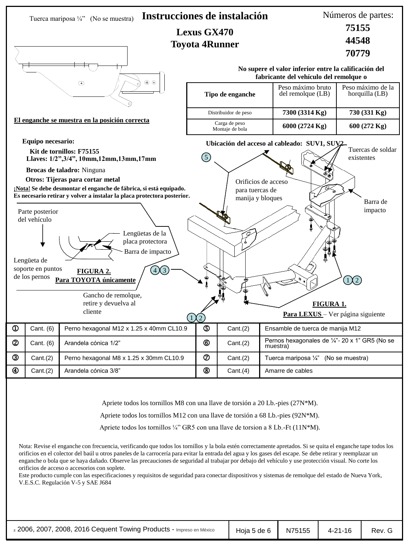

enganche o bola que se haya dañado. Observe las precauciones de seguridad al trabajar por debajo del vehículo y use protección visual. No corte los orificios de acceso o accesorios con soplete.

Este producto cumple con las especificaciones y requisitos de seguridad para conectar dispositivos y sistemas de remolque del estado de Nueva York, V.E.S.C. Regulación V-5 y SAE J684